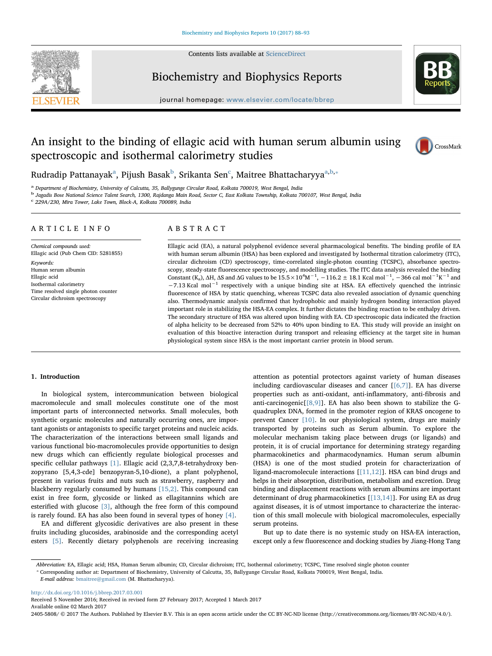

Contents lists available at [ScienceDirect](http://www.sciencedirect.com/science/journal/24055808)

# Biochemistry and Biophysics Reports



journal homepage: [www.elsevier.com/locate/bbrep](http://www.elsevier.com/locate/bbrep)

# An insight to the binding of ellagic acid with human serum albumin using spectroscopic and isothermal calorimetry studies



Rudr[a](#page-0-0)dip Pattanayak $^{\rm a}$ , Pijush Basak $^{\rm b}$  $^{\rm b}$  $^{\rm b}$ , Srikanta Sen $^{\rm c}$  $^{\rm c}$  $^{\rm c}$ , Maitree Bhattacharyya $^{\rm a,b,*}$  $^{\rm a,b,*}$  $^{\rm a,b,*}$ 

<span id="page-0-0"></span><sup>a</sup> Department of Biochemistry, University of Calcutta, 35, Ballygunge Circular Road, Kolkata 700019, West Bengal, India

<span id="page-0-1"></span><sup>b</sup> Jagadis Bose National Science Talent Search, 1300, Rajdanga Main Road, Sector C, East Kolkata Township, Kolkata 700107, West Bengal, India

<span id="page-0-2"></span> $c$  229A/230, Mira Tower, Lake Town, Block-A, Kolkata 700089, India

# ARTICLE INFO

Chemical compounds used: Ellagic acid (Pub Chem CID: 5281855) Keywords: Human serum albumin Ellagic acid Isothermal calorimetry Time resolved single photon counter Circular dichroism spectroscopy

# ABSTRACT

Ellagic acid (EA), a natural polyphenol evidence several pharmacological benefits. The binding profile of EA with human serum albumin (HSA) has been explored and investigated by Isothermal titration calorimetry (ITC), circular dichroism (CD) spectroscopy, time-correlated single-photon counting (TCSPC), absorbance spectroscopy, steady-state fluorescence spectroscopy, and modelling studies. The ITC data analysis revealed the binding Constant (K<sub>a</sub>),  $\Delta H$ ,  $\Delta S$  and  $\Delta G$  values to be 15.5 × 10<sup>4</sup>M<sup>-1</sup>, -116.2  $\pm$  18.1 Kcal mol<sup>-1</sup>, -366 cal mol<sup>-1</sup>K<sup>-1</sup> and −7.13 Kcal mol−<sup>1</sup> respectively with a unique binding site at HSA. EA effectively quenched the intrinsic fluorescence of HSA by static quenching, whereas TCSPC data also revealed association of dynamic quenching also. Thermodynamic analysis confirmed that hydrophobic and mainly hydrogen bonding interaction played important role in stabilizing the HSA-EA complex. It further dictates the binding reaction to be enthalpy driven. The secondary structure of HSA was altered upon binding with EA. CD spectroscopic data indicated the fraction of alpha helicity to be decreased from 52% to 40% upon binding to EA. This study will provide an insight on evaluation of this bioactive interaction during transport and releasing efficiency at the target site in human physiological system since HSA is the most important carrier protein in blood serum.

# 1. Introduction

In biological system, intercommunication between biological macromolecule and small molecules constitute one of the most important parts of interconnected networks. Small molecules, both synthetic organic molecules and naturally occurring ones, are important agonists or antagonists to specific target proteins and nucleic acids. The characterization of the interactions between small ligands and various functional bio-macromolecules provide opportunities to design new drugs which can efficiently regulate biological processes and specific cellular pathways [\[1\]](#page-5-0). Ellagic acid (2,3,7,8-tetrahydroxy benzopyrano [5,4,3-cde] benzopyran-5,10-dione), a plant polyphenol, present in various fruits and nuts such as strawberry, raspberry and blackberry regularly consumed by humans [\[15,2\]](#page-5-1). This compound can exist in free form, glycoside or linked as ellagitannins which are esterified with glucose [\[3\],](#page-5-2) although the free form of this compound is rarely found. EA has also been found in several types of honey [\[4\]](#page-5-3).

EA and different glycosidic derivatives are also present in these fruits including glucosides, arabinoside and the corresponding acetyl esters [\[5\].](#page-5-4) Recently dietary polyphenols are receiving increasing attention as potential protectors against variety of human diseases including cardiovascular diseases and cancer [[\[6,7\]](#page-5-5)]. EA has diverse properties such as anti-oxidant, anti-inflammatory, anti-fibrosis and anti-carcinogenic[[\[8,9\]\]](#page-5-6). EA has also been shown to stabilize the Gquadruplex DNA, formed in the promoter region of KRAS oncogene to prevent Cancer [\[10\]](#page-5-7). In our physiological system, drugs are mainly transported by proteins such as Serum albumin. To explore the molecular mechanism taking place between drugs (or ligands) and protein, it is of crucial importance for determining strategy regarding pharmacokinetics and pharmacodynamics. Human serum albumin (HSA) is one of the most studied protein for characterization of ligand-macromolecule interactions [\[\[11,12\]](#page-5-8)]. HSA can bind drugs and helps in their absorption, distribution, metabolism and excretion. Drug binding and displacement reactions with serum albumins are important determinant of drug pharmacokinetics [\[\[13,14\]](#page-5-9)]. For using EA as drug against diseases, it is of utmost importance to characterize the interaction of this small molecule with biological macromolecules, especially serum proteins.

But up to date there is no systemic study on HSA-EA interaction, except only a few fluorescence and docking studies by Jiang-Hong Tang

<span id="page-0-3"></span>Abbreviation: EA, Ellagic acid; HSA, Human Serum albumin; CD, Circular dichroism; ITC, Isothermal calorimetry; TCSPC, Time resolved single photon counter

⁎ Corresponding author at: Department of Biochemistry, University of Calcutta, 35, Ballygunge Circular Road, Kolkata 700019, West Bengal, India.

<http://dx.doi.org/10.1016/j.bbrep.2017.03.001>

Received 5 November 2016; Received in revised form 27 February 2017; Accepted 1 March 2017 Available online 02 March 2017

2405-5808/ © 2017 The Authors. Published by Elsevier B.V. This is an open access article under the CC BY-NC-ND license (http://creativecommons.org/licenses/BY-NC-ND/4.0/).

E-mail address: [bmaitree@gmail.com](mailto:bmaitree@gmail.com) (M. Bhattacharyya).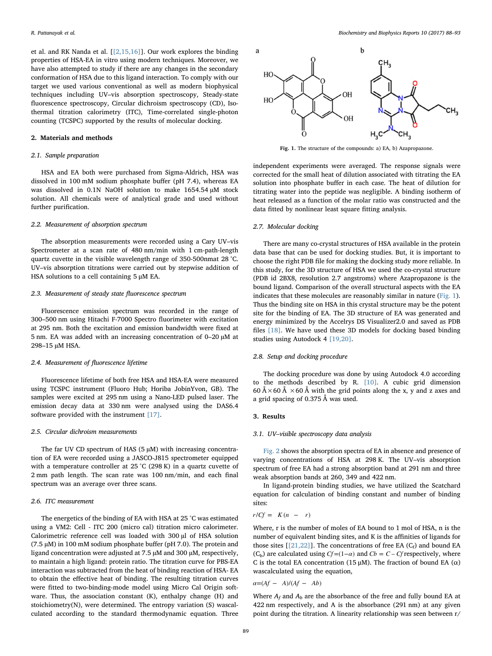et al. and RK Nanda et al. [[\[2,15,16\]](#page-5-1)]. Our work explores the binding properties of HSA-EA in vitro using modern techniques. Moreover, we have also attempted to study if there are any changes in the secondary conformation of HSA due to this ligand interaction. To comply with our target we used various conventional as well as modern biophysical techniques including UV–vis absorption spectroscopy, Steady-state fluorescence spectroscopy, Circular dichroism spectroscopy (CD), Isothermal titration calorimetry (ITC), Time-correlated single-photon counting (TCSPC) supported by the results of molecular docking.

# 2. Materials and methods

## 2.1. Sample preparation

HSA and EA both were purchased from Sigma-Aldrich, HSA was dissolved in 100 mM sodium phosphate buffer (pH 7.4), whereas EA was dissolved in 0.1N NaOH solution to make 1654.54 µM stock solution. All chemicals were of analytical grade and used without further purification.

# 2.2. Measurement of absorption spectrum

The absorption measurements were recorded using a Cary UV–vis Spectrometer at a scan rate of 480 nm/min with 1 cm-path-length quartz cuvette in the visible wavelength range of 350-500nmat 28 °C. UV–vis absorption titrations were carried out by stepwise addition of HSA solutions to a cell containing 5 μM EA.

# 2.3. Measurement of steady state fluorescence spectrum

Fluorescence emission spectrum was recorded in the range of 300–500 nm using Hitachi F-7000 Spectro fluorimeter with excitation at 295 nm. Both the excitation and emission bandwidth were fixed at 5 nm. EA was added with an increasing concentration of 0–20 µM at 298–15 µM HSA.

## 2.4. Measurement of fluorescence lifetime

Fluorescence lifetime of both free HSA and HSA-EA were measured using TCSPC instrument (Fluoro Hub; Horiba JobinYvon, GB). The samples were excited at 295 nm using a Nano-LED pulsed laser. The emission decay data at 330 nm were analysed using the DAS6.4 software provided with the instrument [\[17\].](#page-5-10)

# 2.5. Circular dichroism measurements

The far UV CD spectrum of HAS ( $5 \mu$ M) with increasing concentration of EA were recorded using a JASCO-J815 spectrometer equipped with a temperature controller at 25 °C (298 K) in a quartz cuvette of 2 mm path length. The scan rate was 100 nm/min, and each final spectrum was an average over three scans.

# 2.6. ITC measurement

The energetics of the binding of EA with HSA at 25 °C was estimated using a VM2: Cell - ITC 200 (micro cal) titration micro calorimeter. Calorimetric reference cell was loaded with 300 µl of HSA solution (7.5 µM) in 100 mM sodium phosphate buffer (pH 7.0). The protein and ligand concentration were adjusted at 7.5 µM and 300 µM, respectively, to maintain a high ligand: protein ratio. The titration curve for PBS-EA interaction was subtracted from the heat of binding reaction of HSA- EA to obtain the effective heat of binding. The resulting titration curves were fitted to two-binding-mode model using Micro Cal Origin software. Thus, the association constant (K), enthalpy change (H) and stoichiometry(N), were determined. The entropy variation (S) wascalculated according to the standard thermodynamic equation. Three

<span id="page-1-0"></span>

Fig. 1. The structure of the compounds: a) EA, b) Azapropazone.

independent experiments were averaged. The response signals were corrected for the small heat of dilution associated with titrating the EA solution into phosphate buffer in each case. The heat of dilution for titrating water into the peptide was negligible. A binding isotherm of heat released as a function of the molar ratio was constructed and the data fitted by nonlinear least square fitting analysis.

## 2.7. Molecular docking

There are many co-crystal structures of HSA available in the protein data base that can be used for docking studies. But, it is important to choose the right PDB file for making the docking study more reliable. In this study, for the 3D structure of HSA we used the co-crystal structure (PDB id 2BX8, resolution 2.7 angstroms) where Azapropazone is the bound ligand. Comparison of the overall structural aspects with the EA indicates that these molecules are reasonably similar in nature ([Fig. 1](#page-1-0)). Thus the binding site on HSA in this crystal structure may be the potent site for the binding of EA. The 3D structure of EA was generated and energy minimized by the Accelrys DS Visualizer2.0 and saved as PDB files [\[18\]](#page-5-11). We have used these 3D models for docking based binding studies using Autodock 4 [\[19,20\].](#page-5-12)

# 2.8. Setup and docking procedure

The docking procedure was done by using Autodock 4.0 according to the methods described by R. [\[10\]](#page-5-7). A cubic grid dimension 60 Å  $\times$  60 Å  $\times$  60 Å with the grid points along the x, y and z axes and a grid spacing of 0.375 Å was used.

#### 3. Results

## 3.1. UV–visible spectroscopy data analysis

[Fig. 2](#page-2-0) shows the absorption spectra of EA in absence and presence of varying concentrations of HSA at 298 K. The UV–vis absorption spectrum of free EA had a strong absorption band at 291 nm and three weak absorption bands at 260, 349 and 422 nm.

In ligand-protein binding studies, we have utilized the Scatchard equation for calculation of binding constant and number of binding sites:

$$
r/Cf = K(n - r)
$$

Where, r is the number of moles of EA bound to 1 mol of HSA, n is the number of equivalent binding sites, and K is the affinities of ligands for those sites  $[[21,22]]$ . The concentrations of free EA (C<sub>f</sub>) and bound EA (C<sub>b</sub>) are calculated using  $Cf = (1 - \alpha)$  and  $Cb = C - Cf$  respectively, where C is the total EA concentration (15  $\mu$ M). The fraction of bound EA ( $\alpha$ ) wascalculated using the equation,

$$
\alpha = (Af - A)/(Af - Ab)
$$

Where  $A_f$  and  $A_b$  are the absorbance of the free and fully bound EA at 422 nm respectively, and A is the absorbance (291 nm) at any given point during the titration. A linearity relationship was seen between r/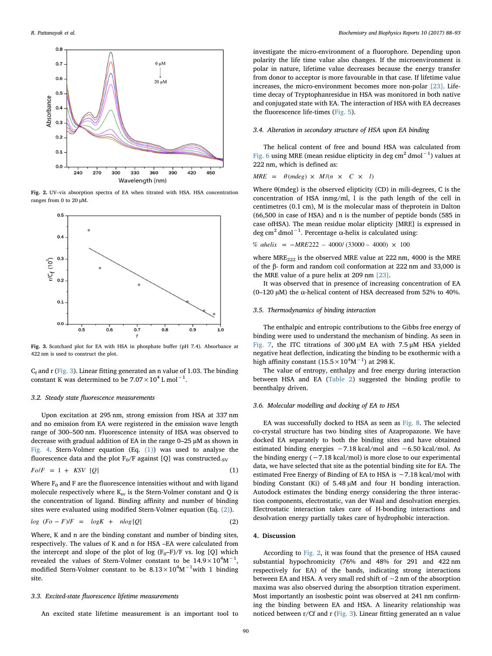<span id="page-2-0"></span>

Fig. 2. UV–vis absorption spectra of EA when titrated with HSA. HSA concentration ranges from 0 to 20 μM.

<span id="page-2-1"></span>

Fig. 3. Scatchard plot for EA with HSA in phosphate buffer (pH 7.4). Absorbance at 422 nm is used to construct the plot.

 $C_f$  and r [\(Fig. 3\)](#page-2-1). Linear fitting generated an n value of 1.03. The binding constant K was determined to be  $7.07 \times 10^4$  L mol<sup>-1</sup>.

## 3.2. Steady state fluorescence measurements

Upon excitation at 295 nm, strong emission from HSA at 337 nm and no emission from EA were registered in the emission wave length range of 300–500 nm. Fluorescence intensity of HSA was observed to decrease with gradual addition of EA in the range 0–25 µM as shown in [Fig. 4](#page-3-0). Stern-Volmer equation (Eq. [\(1\)\)](#page-2-2) was used to analyse the fluorescence data and the plot  $F_0/F$  against [Q] was constructed.<sub>SV</sub>

<span id="page-2-2"></span>
$$
Fo/F = 1 + KSV [Q]
$$
 (1)

Where  $F_0$  and F are the fluorescence intensities without and with ligand molecule respectively where  $K_{sv}$  is the Stern-Volmer constant and Q is the concentration of ligand. Binding affinity and number of binding sites were evaluated using modified Stern-Volmer equation (Eq. [\(2\)](#page-2-3)).

<span id="page-2-3"></span>
$$
\log (Fo - F)/F = \log K + n \log [Q] \tag{2}
$$

Where, K and n are the binding constant and number of binding sites, respectively. The values of K and n for HSA –EA were calculated from the intercept and slope of the plot of log  $(F_0-F)/F$  vs. log [Q] which revealed the values of Stern-Volmer constant to be  $14.9 \times 10^4$ M $^{-1}$ , modified Stern-Volmer constant to be  $8.13 \times 10^4$ M $^{-1}$ with 1 binding site.

#### 3.3. Excited-state fluorescence lifetime measurements

An excited state lifetime measurement is an important tool to

investigate the micro-environment of a fluorophore. Depending upon polarity the life time value also changes. If the microenvironment is polar in nature, lifetime value decreases because the energy transfer from donor to acceptor is more favourable in that case. If lifetime value increases, the micro-environment becomes more non-polar [\[23\].](#page-5-14) Lifetime decay of Tryptophanresidue in HSA was monitored in both native and conjugated state with EA. The interaction of HSA with EA decreases the fluorescence life-times [\(Fig. 5\)](#page-3-1).

# 3.4. Alteration in secondary structure of HSA upon EA binding

The helical content of free and bound HSA was calculated from [Fig. 6](#page-3-2) using MRE (mean residue elipticity in deg cm<sup>2</sup> dmol<sup>-1</sup>) values at 222 nm, which is defined as:

$$
MRE = \theta (mdeg) \times M/(n \times C \times l)
$$

Where  $\theta$ (mdeg) is the observed elipticity (CD) in mili-degrees, C is the concentration of HSA inmg/ml, l is the path length of the cell in centimetres (0.1 cm), M is the molecular mass of theprotein in Dalton (66,500 in case of HSA) and n is the number of peptide bonds (585 in case ofHSA). The mean residue molar elipticity [MRE] is expressed in deg cm<sup>2</sup> dmol<sup>-1</sup>. Percentage α-helix is calculated using:

% *ahelix* = 
$$
-MRE222 - 4000/(33000 - 4000) \times 100
$$

where  $MRE_{222}$  is the observed MRE value at 222 nm, 4000 is the MRE of the β- form and random coil conformation at 222 nm and 33,000 is the MRE value of a pure helix at 209 nm [\[23\]](#page-5-14).

It was observed that in presence of increasing concentration of EA (0–120 µM) the α-helical content of HSA decreased from 52% to 40%.

# 3.5. Thermodynamics of binding interaction

The enthalpic and entropic contributions to the Gibbs free energy of binding were used to understand the mechanism of binding. As seen in [Fig. 7,](#page-3-3) the ITC titrations of 300 μM EA with 7.5 μM HSA yielded negative heat deflection, indicating the binding to be exothermic with a high affinity constant  $(15.5 \times 10^4 \text{M}^{-1})$  at 298 K.

The value of entropy, enthalpy and free energy during interaction between HSA and EA ([Table 2\)](#page-4-0) suggested the binding profile to beenthalpy driven.

# 3.6. Molecular modelling and docking of EA to HSA

EA was successfully docked to HSA as seen as [Fig. 8](#page-4-1). The selected co-crystal structure has two binding sites of Azapropazone. We have docked EA separately to both the binding sites and have obtained estimated binding energies −7.18 kcal/mol and −6.50 kcal/mol. As the binding energy  $(-7.18 \text{ kcal/mol})$  is more close to our experimental data, we have selected that site as the potential binding site for EA. The estimated Free Energy of Binding of EA to HSA is −7.18 kcal/mol with binding Constant (Ki) of 5.48 µM and four H bonding interaction. Autodock estimates the binding energy considering the three interaction components, electrostatic, van der Waal and desolvation energies. Electrostatic interaction takes care of H-bonding interactions and desolvation energy partially takes care of hydrophobic interaction.

# 4. Discussion

According to [Fig. 2](#page-2-0), it was found that the presence of HSA caused substantial hypochromicity (76% and 48% for 291 and 422 nm respectively for EA) of the bands, indicating strong interactions between EA and HSA. A very small red shift of  $\sim$ 2 nm of the absorption maxima was also observed during the absorption titration experiment. Most importantly an isosbestic point was observed at 241 nm confirming the binding between EA and HSA. A linearity relationship was noticed between r/Cf and r ([Fig. 3\)](#page-2-1). Linear fitting generated an n value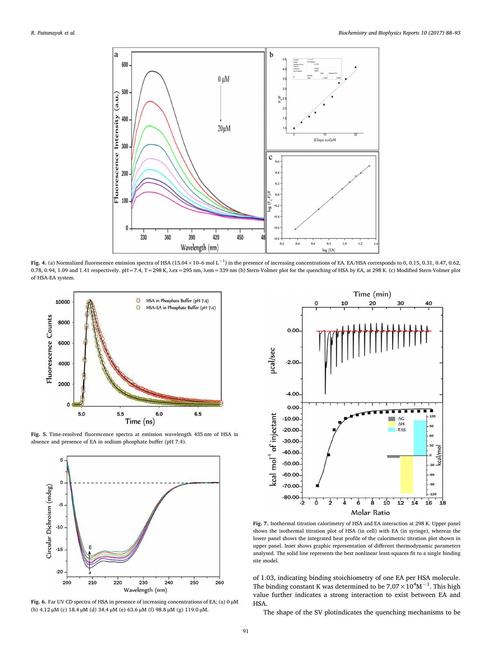<span id="page-3-0"></span>

Fig. 4. (a) Normalized fluorescence emission spectra of HSA (15.04×10–6 mol L<sup>-1</sup>) in the presence of increasing concentrations of EA. EA/HSA corresponds to 0, 0.15, 0.31, 0.47, 0.62, 0.78, 0.94, 1.09 and 1.41 respectively. pH=7.4, T=298 K, λex=295 nm, λem=339 nm (b) Stern-Volmer plot for the quenching of HSA by EA, at 298 K. (c) Modified Stern-Volmer plot of HSA-EA system.

<span id="page-3-1"></span>

Fig. 5. Time-resolved fluorescence spectra at emission wavelength 435 nm of HSA in absence and presence of EA in sodium phosphate buffer (pH 7.4).

<span id="page-3-2"></span>

Fig. 6. Far UV CD spectra of HSA in presence of increasing concentrations of EA; (a) 0 μM (b) 4.12 μM (c) 18.4 μM (d) 34.4 μM (e) 63.6 μM (f) 98.8 μM (g) 119.0 μM.

<span id="page-3-3"></span>

Fig. 7. Isothermal titration calorimetry of HSA and EA interaction at 298 K. Upper panel shows the isothermal titration plot of HSA (in cell) with EA (in syringe), whereas the lower panel shows the integrated heat profile of the calorimetric titration plot shown in upper panel. Inset shows graphic representation of different thermodynamic parameters analysed. The solid line represents the best nonlinear least-squares fit to a single binding site model.

of 1.03, indicating binding stoichiometry of one EA per HSA molecule. The binding constant K was determined to be  $7.07 \times 10^4$ M<sup>-1</sup>. This high value further indicates a strong interaction to exist between EA and HSA.

The shape of the SV plotindicates the quenching mechanisms to be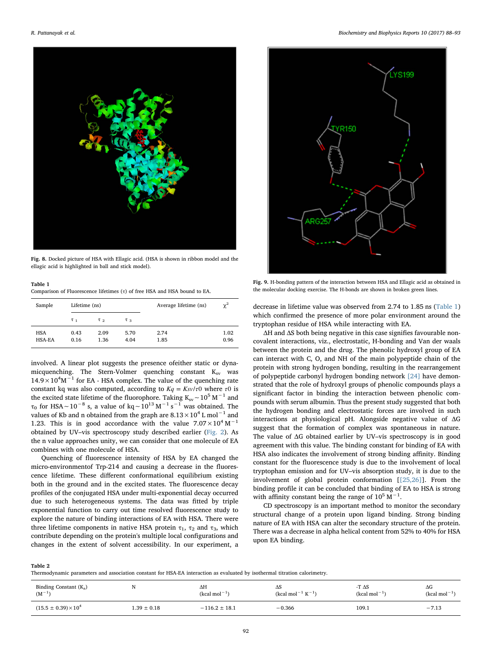<span id="page-4-1"></span>

Fig. 8. Docked picture of HSA with Ellagic acid. (HSA is shown in ribbon model and the ellagic acid is highlighted in ball and stick model).

#### <span id="page-4-2"></span>Table 1 Comparison of Fluorescence lifetimes (τ) of free HSA and HSA bound to EA.

| Sample               | Lifetime (ns)       |                     |              | Average lifetime (ns) | $\chi^2$     |
|----------------------|---------------------|---------------------|--------------|-----------------------|--------------|
|                      | $\tau$ <sub>1</sub> | $\tau$ <sub>2</sub> | $\tau_{3}$   |                       |              |
| <b>HSA</b><br>HSA-EA | 0.43<br>0.16        | 2.09<br>1.36        | 5.70<br>4.04 | 2.74<br>1.85          | 1.02<br>0.96 |

involved. A linear plot suggests the presence ofeither static or dynamicquenching. The Stern-Volmer quenching constant  $K_{sv}$  was  $14.9 \times 10^{4}$ M<sup>-1</sup> for EA - HSA complex. The value of the quenching rate constant kq was also computed, according to  $Kq = Ksv/\tau 0$  where  $\tau 0$  is the excited state lifetime of the fluorophore. Taking K<sub>sv</sub>∼10<sup>5</sup> M<sup>-1</sup> and  $\tau_0$  for HSA∼10<sup>−8</sup> s, a value of kq∼10<sup>13</sup> M<sup>−1</sup> s<sup>−1</sup> was obtained. The values of Kb and n obtained from the graph are  $8.13 \times 10^4$  L mol<sup>-1</sup> and 1.23. This is in good accordance with the value  $7.07 \times 10^4$  M<sup>-1</sup> obtained by UV–vis spectroscopy study described earlier [\(Fig. 2](#page-2-0)). As the n value approaches unity, we can consider that one molecule of EA combines with one molecule of HSA.

Quenching of fluorescence intensity of HSA by EA changed the micro-environmentof Trp-214 and causing a decrease in the fluorescence lifetime. These different conformational equilibrium existing both in the ground and in the excited states. The fluorescence decay profiles of the conjugated HSA under multi-exponential decay occurred due to such heterogeneous systems. The data was fitted by triple exponential function to carry out time resolved fluorescence study to explore the nature of binding interactions of EA with HSA. There were three lifetime components in native HSA protein  $\tau_1$ ,  $\tau_2$  and  $\tau_3$ , which contribute depending on the protein's multiple local configurations and changes in the extent of solvent accessibility. In our experiment, a

<span id="page-4-3"></span>

Fig. 9. H-bonding pattern of the interaction between HSA and Ellagic acid as obtained in the molecular docking exercise. The H-bonds are shown in broken green lines.

decrease in lifetime value was observed from 2.74 to 1.85 ns [\(Table 1\)](#page-4-2) which confirmed the presence of more polar environment around the tryptophan residue of HSA while interacting with EA.

ΔH and ΔS both being negative in this case signifies favourable noncovalent interactions, viz., electrostatic, H-bonding and Van der waals between the protein and the drug. The phenolic hydroxyl group of EA can interact with C, O, and NH of the main polypeptide chain of the protein with strong hydrogen bonding, resulting in the rearrangement of polypeptide carbonyl hydrogen bonding network [\[24\]](#page-5-15) have demonstrated that the role of hydroxyl groups of phenolic compounds plays a significant factor in binding the interaction between phenolic compounds with serum albumin. Thus the present study suggested that both the hydrogen bonding and electrostatic forces are involved in such interactions at physiological pH. Alongside negative value of ΔG suggest that the formation of complex was spontaneous in nature. The value of ΔG obtained earlier by UV–vis spectroscopy is in good agreement with this value. The binding constant for binding of EA with HSA also indicates the involvement of strong binding affinity. Binding constant for the fluorescence study is due to the involvement of local tryptophan emission and for UV–vis absorption study, it is due to the involvement of global protein conformation [[\[25,26\]\]](#page-5-16). From the binding profile it can be concluded that binding of EA to HSA is strong with affinity constant being the range of  $10^5$  M<sup>-1</sup>.

CD spectroscopy is an important method to monitor the secondary structural change of a protein upon ligand binding. Strong binding nature of EA with HSA can alter the secondary structure of the protein. There was a decrease in alpha helical content from 52% to 40% for HSA upon EA binding.

<span id="page-4-0"></span>Table 2

Thermodynamic parameters and association constant for HSA-EA interaction as evaluated by isothermal titration calorimetry.

| Binding Constant $(K_a)$      |                 | ΔΗ                | ΔS                 | -T $\Delta S$  | $\Delta G$     |
|-------------------------------|-----------------|-------------------|--------------------|----------------|----------------|
| $(M^{-1}$                     |                 | $(kcal mol-1)$    | $(kcal mol-1 K-1)$ | $(kcal mol-1)$ | $(kcal mol-1)$ |
| $(15.5 \pm 0.39) \times 10^4$ | $1.39 \pm 0.18$ | $-116.2 \pm 18.1$ | $-0.366$           | 109.1          | $-7.13$        |